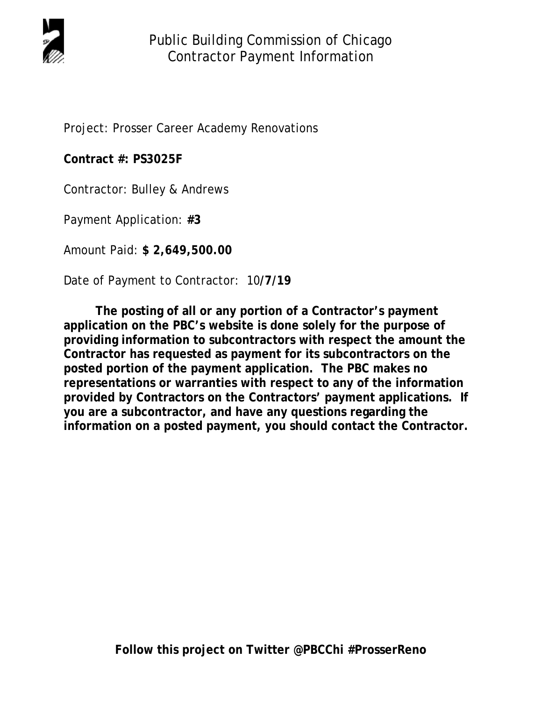

Project: Prosser Career Academy Renovations

**Contract #: PS3025F** 

Contractor: Bulley & Andrews

Payment Application: **#3** 

Amount Paid: **\$ 2,649,500.00** 

Date of Payment to Contractor: 10**/7/19** 

 **The posting of all or any portion of a Contractor's payment application on the PBC's website is done solely for the purpose of providing information to subcontractors with respect the amount the Contractor has requested as payment for its subcontractors on the posted portion of the payment application. The PBC makes no representations or warranties with respect to any of the information provided by Contractors on the Contractors' payment applications. If you are a subcontractor, and have any questions regarding the information on a posted payment, you should contact the Contractor.**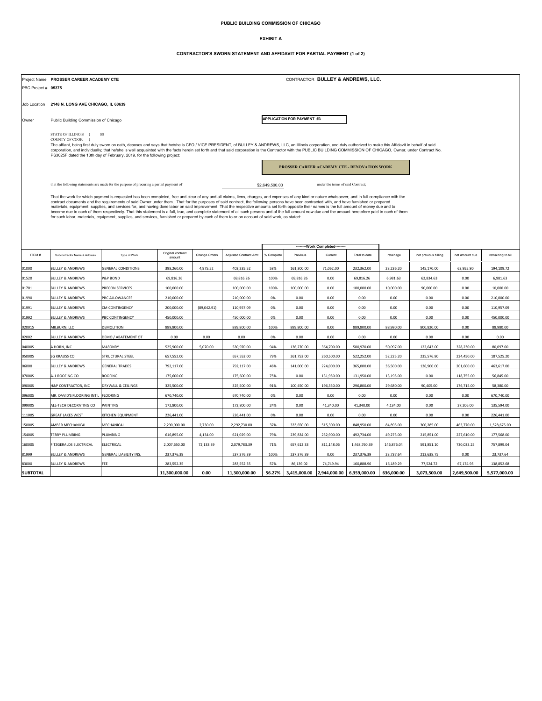#### **PUBLIC BUILDING COMMISSION OF CHICAGO**

#### **EXHIBIT A**

### **CONTRACTOR'S SWORN STATEMENT AND AFFIDAVIT FOR PARTIAL PAYMENT (1 of 2)**

|                     |                                                                                                                                                                                                                                                                                                                                                                                                                                           | CONTRACTOR BULLEY & ANDREWS, LLC.<br>Project Name PROSSER CAREER ACADEMY CTE                                                                    |                             |               |                       |                  |                            |              |               |            |                      |                |                   |
|---------------------|-------------------------------------------------------------------------------------------------------------------------------------------------------------------------------------------------------------------------------------------------------------------------------------------------------------------------------------------------------------------------------------------------------------------------------------------|-------------------------------------------------------------------------------------------------------------------------------------------------|-----------------------------|---------------|-----------------------|------------------|----------------------------|--------------|---------------|------------|----------------------|----------------|-------------------|
| PBC Project # 05375 |                                                                                                                                                                                                                                                                                                                                                                                                                                           |                                                                                                                                                 |                             |               |                       |                  |                            |              |               |            |                      |                |                   |
|                     |                                                                                                                                                                                                                                                                                                                                                                                                                                           |                                                                                                                                                 |                             |               |                       |                  |                            |              |               |            |                      |                |                   |
| Job Location        | 2148 N. LONG AVE CHICAGO, IL 60639                                                                                                                                                                                                                                                                                                                                                                                                        |                                                                                                                                                 |                             |               |                       |                  |                            |              |               |            |                      |                |                   |
| Owner               | Public Building Commission of Chicago                                                                                                                                                                                                                                                                                                                                                                                                     |                                                                                                                                                 |                             |               |                       |                  | APPLICATION FOR PAYMENT #3 |              |               |            |                      |                |                   |
|                     |                                                                                                                                                                                                                                                                                                                                                                                                                                           |                                                                                                                                                 |                             |               |                       |                  |                            |              |               |            |                      |                |                   |
|                     | STATE OF ILLINOIS }<br>SS<br>COUNTY OF COOK                                                                                                                                                                                                                                                                                                                                                                                               |                                                                                                                                                 |                             |               |                       |                  |                            |              |               |            |                      |                |                   |
|                     | The affiant, being first duly sworn on oath, deposes and says that he/she is CFO / VICE PRESIDENT, of BULLEY & ANDREWS, LLC, an Illinois corporation, and duly authorized to make this Affidavit in behalf of said<br>corporation, and individually; that he/she is well acquainted with the facts herein set forth and that said corporation is the Contractor with the PUBLIC BUILDING COMMISSION OF CHICAGO, Owner, under Contract No. |                                                                                                                                                 |                             |               |                       |                  |                            |              |               |            |                      |                |                   |
|                     | PS3025F dated the 13th day of February, 2019, for the following project:                                                                                                                                                                                                                                                                                                                                                                  |                                                                                                                                                 |                             |               |                       |                  |                            |              |               |            |                      |                |                   |
|                     | PROSSER CAREER ACADEMY CTE - RENOVATION WORK                                                                                                                                                                                                                                                                                                                                                                                              |                                                                                                                                                 |                             |               |                       |                  |                            |              |               |            |                      |                |                   |
|                     |                                                                                                                                                                                                                                                                                                                                                                                                                                           |                                                                                                                                                 |                             |               |                       |                  |                            |              |               |            |                      |                |                   |
|                     |                                                                                                                                                                                                                                                                                                                                                                                                                                           | under the terms of said Contract;<br>that the following statements are made for the purpose of procuring a partial payment of<br>\$2,649,500.00 |                             |               |                       |                  |                            |              |               |            |                      |                |                   |
|                     | That the work for which payment is requested has been completed, free and clear of any and all claims, liens, charges, and expenses of any kind or nature whatsoever, and in full compliance with the                                                                                                                                                                                                                                     |                                                                                                                                                 |                             |               |                       |                  |                            |              |               |            |                      |                |                   |
|                     | contract documents and the requirements of said Owner under them. That for the purposes of said contract, the following persons have been contracted with, and have furnished or prepared<br>materials, equipment, supplies, and services for, and having done labor on said improvement. That the respective amounts set forth opposite their names is the full amount of money due and to                                               |                                                                                                                                                 |                             |               |                       |                  |                            |              |               |            |                      |                |                   |
|                     | become due to each of them respectively. That this statement is a full, true, and complete statement of all such persons and of the full amount now due and the amount heretofore paid to each of them<br>for such labor, materials, equipment, supplies, and services, furnished or prepared by each of them to or on account of said work, as stated:                                                                                   |                                                                                                                                                 |                             |               |                       |                  |                            |              |               |            |                      |                |                   |
|                     |                                                                                                                                                                                                                                                                                                                                                                                                                                           |                                                                                                                                                 |                             |               |                       |                  |                            |              |               |            |                      |                |                   |
|                     |                                                                                                                                                                                                                                                                                                                                                                                                                                           |                                                                                                                                                 |                             |               |                       |                  |                            |              |               |            |                      |                |                   |
|                     |                                                                                                                                                                                                                                                                                                                                                                                                                                           |                                                                                                                                                 |                             |               |                       | -Work Completed- |                            |              |               |            |                      |                |                   |
| ITEM#               | Subcontractor Name & Address                                                                                                                                                                                                                                                                                                                                                                                                              | Type of Work                                                                                                                                    | Original contract<br>amount | Change Orders | Adjusted Contract Amt | % Complete       | Previous                   | Current      | Total to date | retainage  | net previous billing | net amount due | remaining to bill |
| 01000               | <b>BULLEY &amp; ANDREWS</b>                                                                                                                                                                                                                                                                                                                                                                                                               | <b>GENERAL CONDITIONS</b>                                                                                                                       | 398,260.00                  | 4,975.52      | 403,235.52            | 58%              | 161,300.00                 | 71,062.00    | 232,362.00    | 23,236.20  | 145,170.00           | 63,955.80      | 194,109.72        |
| 01520               | <b>BULLEY &amp; ANDREWS</b>                                                                                                                                                                                                                                                                                                                                                                                                               | P&P BOND                                                                                                                                        | 69,816.26                   |               | 69,816.26             | 100%             | 69,816.26                  | 0.00         | 69,816.26     | 6,981.63   | 62,834.63            | 0.00           | 6,981.63          |
| 01701               | <b>BULLEY &amp; ANDREWS</b>                                                                                                                                                                                                                                                                                                                                                                                                               | PRECON SERVICES                                                                                                                                 | 100,000.00                  |               | 100,000.00            | 100%             | 100,000.00                 | 0.00         | 100,000.00    | 10,000.00  | 90,000.00            | 0.00           | 10,000.00         |
| 01990               | <b>BULLEY &amp; ANDREWS</b>                                                                                                                                                                                                                                                                                                                                                                                                               | PBC ALLOWANCES                                                                                                                                  | 210,000.00                  |               | 210,000.00            | 0%               | 0.00                       | 0.00         | 0.00          | 0.00       | 0.00                 | 0.00           | 210,000.00        |
| 01991               | <b>BULLEY &amp; ANDREWS</b>                                                                                                                                                                                                                                                                                                                                                                                                               | CM CONTINGENCY                                                                                                                                  | 200,000.00                  | (89,042.91)   | 110,957.09            | 0%               | 0.00                       | 0.00         | 0.00          | 0.00       | 0.00                 | 0.00           | 110,957.09        |
| 01992               | <b>BULLEY &amp; ANDREWS</b>                                                                                                                                                                                                                                                                                                                                                                                                               | PBC CONTINGENCY                                                                                                                                 | 450,000.00                  |               | 450,000.00            | 0%               | 0.00                       | 0.00         | 0.00          | 0.00       | 0.00                 | 0.00           | 450,000.00        |
| 02001S              | MILBURN, LLC                                                                                                                                                                                                                                                                                                                                                                                                                              | DEMOLITION                                                                                                                                      | 889,800.00                  |               | 889,800.00            | 100%             | 889,800.00                 | 0.00         | 889,800.00    | 88,980.00  | 800,820.00           | 0.00           | 88,980.00         |
| 02002               | <b>BULLEY &amp; ANDREWS</b>                                                                                                                                                                                                                                                                                                                                                                                                               | DEMO / ABATEMENT OT                                                                                                                             | 0.00                        | 0.00          | 0.00                  | 0%               | 0.00                       | 0.00         | 0.00          | 0.00       | 0.00                 | 0.00           | 0.00              |
| 04000S              | A HORN, INC                                                                                                                                                                                                                                                                                                                                                                                                                               | MASONRY                                                                                                                                         | 525,900.00                  | 5,070.00      | 530,970.00            | 94%              | 136,270.00                 | 364,700.00   | 500,970.00    | 50,097.00  | 122,643.00           | 328,230.00     | 80,097.00         |
| 05000S              | <b>SG KRAUSS CO</b>                                                                                                                                                                                                                                                                                                                                                                                                                       | STRUCTURAL STEEL                                                                                                                                | 657,552.00                  |               | 657,552.00            | 79%              | 261,752.00                 | 260,500.00   | 522,252.00    | 52,225.20  | 235,576.80           | 234,450.00     | 187,525.20        |
| 06000               | <b>BULLEY &amp; ANDREWS</b>                                                                                                                                                                                                                                                                                                                                                                                                               | <b>GENERAL TRADES</b>                                                                                                                           | 792,117.00                  |               | 792,117.00            | 46%              | 141,000.00                 | 224,000.00   | 365,000.00    | 36,500.00  | 126,900.00           | 201,600.00     | 463,617.00        |
| 07000S              | A-1 ROOFING CO                                                                                                                                                                                                                                                                                                                                                                                                                            | <b>ROOFING</b>                                                                                                                                  | 175,600.00                  |               | 175,600.00            | 75%              | 0.00                       | 131,950.00   | 131,950.00    | 13,195.00  | 0.00                 | 118,755.00     | 56,845.00         |
| 09000S              | H&P CONTRACTOR, INC                                                                                                                                                                                                                                                                                                                                                                                                                       | DRYWALL & CEILINGS                                                                                                                              | 325,500.00                  |               | 325,500.00            | 91%              | 100,450.00                 | 196,350.00   | 296,800.00    | 29,680.00  | 90,405.00            | 176,715.00     | 58,380.00         |
| 09600S              | MR. DAVID'S FLOORING INT'L FLOORING                                                                                                                                                                                                                                                                                                                                                                                                       |                                                                                                                                                 | 670,740.00                  |               | 670,740.00            | 0%               | 0.00                       | 0.00         | 0.00          | 0.00       | 0.00                 | 0.00           | 670,740.00        |
| 09900S              | ALL-TECH DECORATING CO                                                                                                                                                                                                                                                                                                                                                                                                                    | PAINTING                                                                                                                                        | 172,800.00                  |               | 172,800.00            | 24%              | 0.00                       | 41,340.00    | 41,340.00     | 4,134.00   | 0.00                 | 37,206.00      | 135,594.00        |
| 11100S              | <b>GREAT LAKES WEST</b>                                                                                                                                                                                                                                                                                                                                                                                                                   | KITCHEN EQUIPMENT                                                                                                                               | 226,441.00                  |               | 226,441.00            | 0%               | 0.00                       | 0.00         | 0.00          | 0.00       | 0.00                 | 0.00           | 226,441.00        |
| 15000S              | AMBER MECHANICAL                                                                                                                                                                                                                                                                                                                                                                                                                          | MECHANICAL                                                                                                                                      | 2,290,000.00                | 2,730.00      | 2,292,730.00          | 37%              | 333,650.00                 | 515,300.00   | 848,950.00    | 84,895.00  | 300,285.00           | 463,770.00     | 1,528,675.00      |
| 15400S              | <b>TERRY PLUMBING</b>                                                                                                                                                                                                                                                                                                                                                                                                                     | PLUMBING                                                                                                                                        | 616,895.00                  | 4,134.00      | 621,029.00            | 79%              | 239,834.00                 | 252,900.00   | 492,734.00    | 49,273.00  | 215,851.00           | 227,610.00     | 177,568.00        |
| 16000S              | FITZGERALDS ELECTRICAL                                                                                                                                                                                                                                                                                                                                                                                                                    | ELECTRICAL                                                                                                                                      | 2,007,650.00                | 72,133.39     | 2,079,783.39          | 71%              | 657,612.33                 | 811,148.06   | 1,468,760.39  | 146,876.04 | 591,851.10           | 730,033.25     | 757,899.04        |
| 81999               | <b>BULLEY &amp; ANDREWS</b>                                                                                                                                                                                                                                                                                                                                                                                                               | <b>GENERAL LIABILITY INS.</b>                                                                                                                   | 237,376.39                  |               | 237,376.39            | 100%             | 237,376.39                 | 0.00         | 237,376.39    | 23,737.64  | 213,638.75           | 0.00           | 23,737.64         |
| 83000               | <b>BULLEY &amp; ANDREWS</b>                                                                                                                                                                                                                                                                                                                                                                                                               | <b>FFF</b>                                                                                                                                      | 283,552.35                  |               | 283,552.35            | 57%              | 86,139.02                  | 74,749.94    | 160,888.96    | 16,189.29  | 77,524.72            | 67,174.95      | 138,852.68        |
| <b>SUBTOTAL</b>     |                                                                                                                                                                                                                                                                                                                                                                                                                                           |                                                                                                                                                 | 11,300,000.00               | 0.00          | 11,300,000.00         | 56.27%           | 3,415,000.00               | 2,944,000.00 | 6,359,000.00  | 636,000.00 | 3,073,500.00         | 2,649,500.00   | 5,577,000.00      |